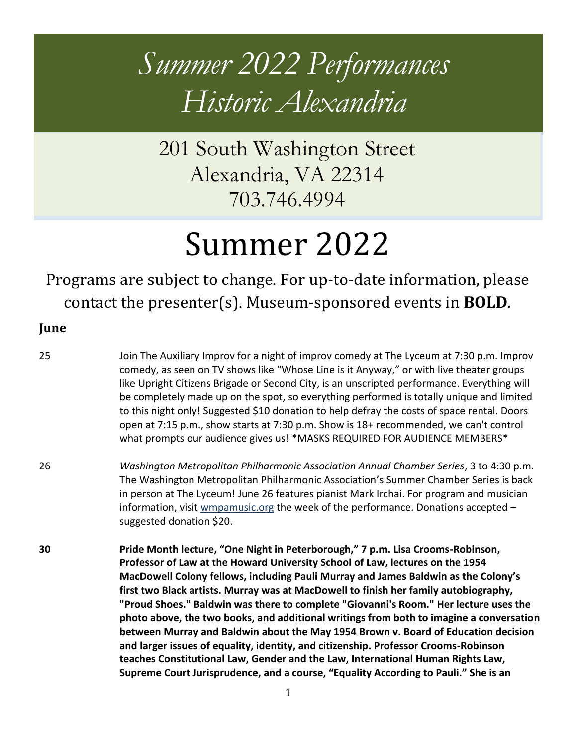# *Summer 2022 Performances Historic Alexandria*

201 South Washington Street Alexandria, VA 22314 703.746.4994

# Summer 2022

Programs are subject to change. For up-to-date information, please contact the presenter(s). Museum-sponsored events in **BOLD**.

### **June**

25 Join The Auxiliary Improv for a night of improv comedy at The Lyceum at 7:30 p.m. Improv comedy, as seen on TV shows like "Whose Line is it Anyway," or with live theater groups like Upright Citizens Brigade or Second City, is an unscripted performance. Everything will be completely made up on the spot, so everything performed is totally unique and limited to this night only! Suggested \$10 donation to help defray the costs of space rental. Doors open at 7:15 p.m., show starts at 7:30 p.m. Show is 18+ recommended, we can't control what prompts our audience gives us! \*MASKS REQUIRED FOR AUDIENCE MEMBERS\*

- 26 *Washington Metropolitan Philharmonic Association Annual Chamber Series*, 3 to 4:30 p.m. The Washington Metropolitan Philharmonic Association's Summer Chamber Series is back in person at The Lyceum! June 26 features pianist Mark Irchai. For program and musician information, visit [wmpamusic.org](http://www.wmpamusic.org/) the week of the performance. Donations accepted – suggested donation \$20.
- **30 Pride Month lecture, "One Night in Peterborough," 7 p.m. Lisa Crooms-Robinson, Professor of Law at the Howard University School of Law, lectures on the 1954 MacDowell Colony fellows, including Pauli Murray and James Baldwin as the Colony's first two Black artists. Murray was at MacDowell to finish her family autobiography, "Proud Shoes." Baldwin was there to complete "Giovanni's Room." Her lecture uses the photo above, the two books, and additional writings from both to imagine a conversation between Murray and Baldwin about the May 1954 Brown v. Board of Education decision and larger issues of equality, identity, and citizenship. Professor Crooms-Robinson teaches Constitutional Law, Gender and the Law, International Human Rights Law, Supreme Court Jurisprudence, and a course, "Equality According to Pauli." She is an**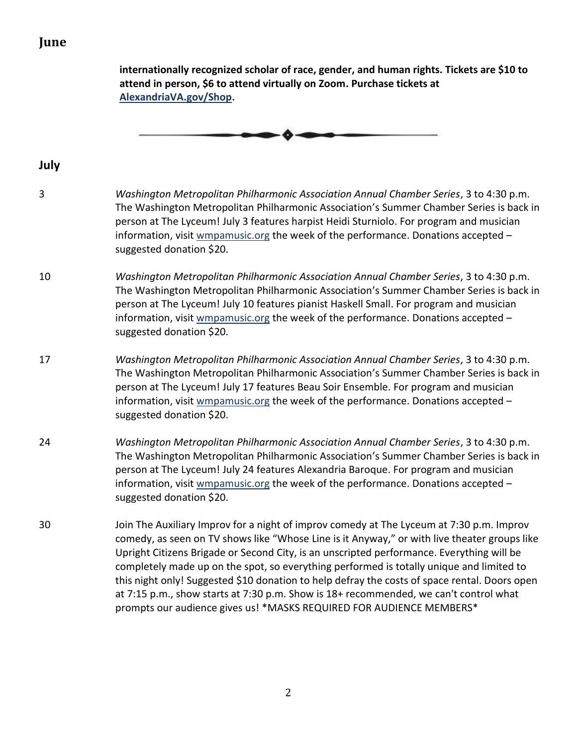## **June**

|                | internationally recognized scholar of race, gender, and human rights. Tickets are \$10 to<br>attend in person, \$6 to attend virtually on Zoom. Purchase tickets at<br>AlexandriaVA.gov/Shop.                                                                                                                                                                                                                                                                                                                                                                                                                                                       |
|----------------|-----------------------------------------------------------------------------------------------------------------------------------------------------------------------------------------------------------------------------------------------------------------------------------------------------------------------------------------------------------------------------------------------------------------------------------------------------------------------------------------------------------------------------------------------------------------------------------------------------------------------------------------------------|
|                |                                                                                                                                                                                                                                                                                                                                                                                                                                                                                                                                                                                                                                                     |
| July           |                                                                                                                                                                                                                                                                                                                                                                                                                                                                                                                                                                                                                                                     |
| $\overline{3}$ | Washington Metropolitan Philharmonic Association Annual Chamber Series, 3 to 4:30 p.m.<br>The Washington Metropolitan Philharmonic Association's Summer Chamber Series is back in<br>person at The Lyceum! July 3 features harpist Heidi Sturniolo. For program and musician<br>information, visit wmpamusic.org the week of the performance. Donations accepted -<br>suggested donation \$20.                                                                                                                                                                                                                                                      |
| 10             | Washington Metropolitan Philharmonic Association Annual Chamber Series, 3 to 4:30 p.m.<br>The Washington Metropolitan Philharmonic Association's Summer Chamber Series is back in<br>person at The Lyceum! July 10 features pianist Haskell Small. For program and musician<br>information, visit wmpamusic.org the week of the performance. Donations accepted -<br>suggested donation \$20.                                                                                                                                                                                                                                                       |
| 17             | Washington Metropolitan Philharmonic Association Annual Chamber Series, 3 to 4:30 p.m.<br>The Washington Metropolitan Philharmonic Association's Summer Chamber Series is back in<br>person at The Lyceum! July 17 features Beau Soir Ensemble. For program and musician<br>information, visit wmpamusic.org the week of the performance. Donations accepted -<br>suggested donation \$20.                                                                                                                                                                                                                                                          |
| 24             | Washington Metropolitan Philharmonic Association Annual Chamber Series, 3 to 4:30 p.m.<br>The Washington Metropolitan Philharmonic Association's Summer Chamber Series is back in<br>person at The Lyceum! July 24 features Alexandria Baroque. For program and musician<br>information, visit <b>wmpamusic.org the week of the performance</b> . Donations accepted -<br>suggested donation \$20.                                                                                                                                                                                                                                                  |
| 30             | Join The Auxiliary Improv for a night of improv comedy at The Lyceum at 7:30 p.m. Improv<br>comedy, as seen on TV shows like "Whose Line is it Anyway," or with live theater groups like<br>Upright Citizens Brigade or Second City, is an unscripted performance. Everything will be<br>completely made up on the spot, so everything performed is totally unique and limited to<br>this night only! Suggested \$10 donation to help defray the costs of space rental. Doors open<br>at 7:15 p.m., show starts at 7:30 p.m. Show is 18+ recommended, we can't control what<br>prompts our audience gives us! *MASKS REQUIRED FOR AUDIENCE MEMBERS* |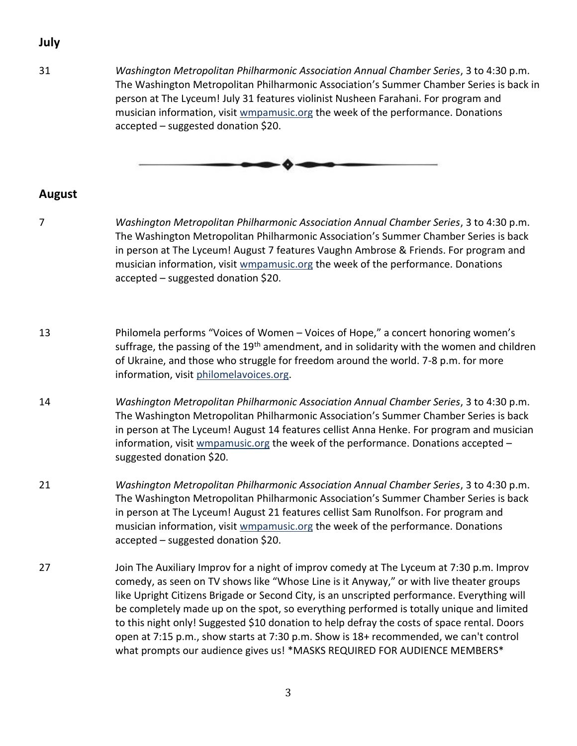## **July**

31 *Washington Metropolitan Philharmonic Association Annual Chamber Series*, 3 to 4:30 p.m. The Washington Metropolitan Philharmonic Association's Summer Chamber Series is back in person at The Lyceum! July 31 features violinist Nusheen Farahani. For program and musician information, visit [wmpamusic.org](http://www.wmpamusic.org/) the week of the performance. Donations accepted – suggested donation \$20.



#### **August**

- 7 *Washington Metropolitan Philharmonic Association Annual Chamber Series*, 3 to 4:30 p.m. The Washington Metropolitan Philharmonic Association's Summer Chamber Series is back in person at The Lyceum! August 7 features Vaughn Ambrose & Friends. For program and musician information, visit [wmpamusic.org](http://www.wmpamusic.org/) the week of the performance. Donations accepted – suggested donation \$20.
- 13 Philomela performs "Voices of Women Voices of Hope," a concert honoring women's suffrage, the passing of the 19<sup>th</sup> amendment, and in solidarity with the women and children of Ukraine, and those who struggle for freedom around the world. 7-8 p.m. for more information, visit [philomelavoices.org.](http://www.philomelavoices.org/)
- 14 *Washington Metropolitan Philharmonic Association Annual Chamber Series*, 3 to 4:30 p.m. The Washington Metropolitan Philharmonic Association's Summer Chamber Series is back in person at The Lyceum! August 14 features cellist Anna Henke. For program and musician information, visit [wmpamusic.org](http://www.wmpamusic.org/) the week of the performance. Donations accepted – suggested donation \$20.
- 21 *Washington Metropolitan Philharmonic Association Annual Chamber Series*, 3 to 4:30 p.m. The Washington Metropolitan Philharmonic Association's Summer Chamber Series is back in person at The Lyceum! August 21 features cellist Sam Runolfson. For program and musician information, visit [wmpamusic.org](http://www.wmpamusic.org/) the week of the performance. Donations accepted – suggested donation \$20.
- 27 Join The Auxiliary Improv for a night of improv comedy at The Lyceum at 7:30 p.m. Improv comedy, as seen on TV shows like "Whose Line is it Anyway," or with live theater groups like Upright Citizens Brigade or Second City, is an unscripted performance. Everything will be completely made up on the spot, so everything performed is totally unique and limited to this night only! Suggested \$10 donation to help defray the costs of space rental. Doors open at 7:15 p.m., show starts at 7:30 p.m. Show is 18+ recommended, we can't control what prompts our audience gives us! \*MASKS REQUIRED FOR AUDIENCE MEMBERS\*